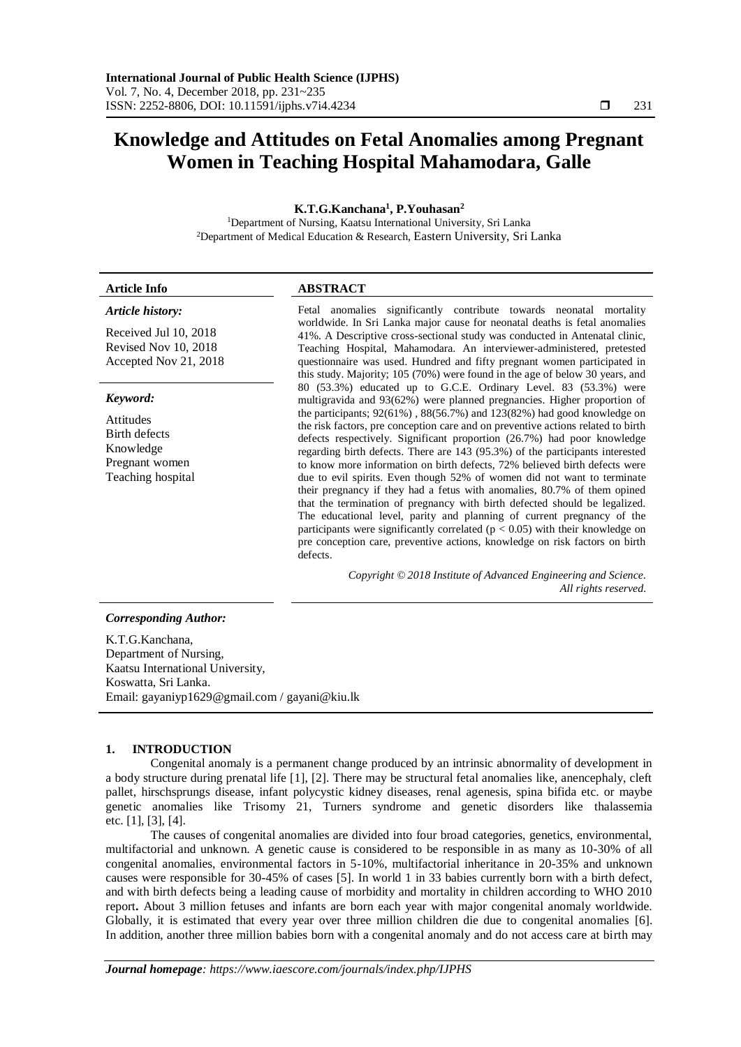# **Knowledge and Attitudes on Fetal Anomalies among Pregnant Women in Teaching Hospital Mahamodara, Galle**

## **K.T.G.Kanchana<sup>1</sup> , P.Youhasan<sup>2</sup>**

<sup>1</sup>Department of Nursing, Kaatsu International University, Sri Lanka <sup>2</sup>Department of Medical Education & Research, Eastern University, Sri Lanka

| <b>Article Info</b>                                                                                          | <b>ABSTRACT</b>                                                                                                                                                                                                                                                                                                                                                                                                                                                                                                                                                                                                                                                                                                                                                                                                                                                                                                                                                                                                                                                                                                                                          |  |
|--------------------------------------------------------------------------------------------------------------|----------------------------------------------------------------------------------------------------------------------------------------------------------------------------------------------------------------------------------------------------------------------------------------------------------------------------------------------------------------------------------------------------------------------------------------------------------------------------------------------------------------------------------------------------------------------------------------------------------------------------------------------------------------------------------------------------------------------------------------------------------------------------------------------------------------------------------------------------------------------------------------------------------------------------------------------------------------------------------------------------------------------------------------------------------------------------------------------------------------------------------------------------------|--|
| Article history:<br>Received Jul 10, 2018<br>Revised Nov 10, 2018<br>Accepted Nov 21, 2018                   | Fetal anomalies significantly contribute towards neonatal mortality<br>worldwide. In Sri Lanka major cause for neonatal deaths is fetal anomalies<br>41%. A Descriptive cross-sectional study was conducted in Antenatal clinic,<br>Teaching Hospital, Mahamodara. An interviewer-administered, pretested<br>questionnaire was used. Hundred and fifty pregnant women participated in<br>this study. Majority; 105 (70%) were found in the age of below 30 years, and                                                                                                                                                                                                                                                                                                                                                                                                                                                                                                                                                                                                                                                                                    |  |
| Keyword:<br><b>Attitudes</b><br>Birth defects<br>Knowledge<br>Pregnant women<br>Teaching hospital            | 80 (53.3%) educated up to G.C.E. Ordinary Level. 83 (53.3%) were<br>multigravida and 93(62%) were planned pregnancies. Higher proportion of<br>the participants; $92(61\%)$ , $88(56.7\%)$ and $123(82\%)$ had good knowledge on<br>the risk factors, pre conception care and on preventive actions related to birth<br>defects respectively. Significant proportion (26.7%) had poor knowledge<br>regarding birth defects. There are 143 (95.3%) of the participants interested<br>to know more information on birth defects, 72% believed birth defects were<br>due to evil spirits. Even though 52% of women did not want to terminate<br>their pregnancy if they had a fetus with anomalies, 80.7% of them opined<br>that the termination of pregnancy with birth defected should be legalized.<br>The educational level, parity and planning of current pregnancy of the<br>participants were significantly correlated ( $p < 0.05$ ) with their knowledge on<br>pre conception care, preventive actions, knowledge on risk factors on birth<br>defects.<br>Copyright © 2018 Institute of Advanced Engineering and Science.<br>All rights reserved. |  |
| <b>Corresponding Author:</b>                                                                                 |                                                                                                                                                                                                                                                                                                                                                                                                                                                                                                                                                                                                                                                                                                                                                                                                                                                                                                                                                                                                                                                                                                                                                          |  |
| K.T.G.Kanchana,<br>Department of Nursing,<br>$V_{\alpha\alpha\beta\gamma\gamma}$ , International Haircrapity |                                                                                                                                                                                                                                                                                                                                                                                                                                                                                                                                                                                                                                                                                                                                                                                                                                                                                                                                                                                                                                                                                                                                                          |  |

Kaatsu International University, Koswatta, Sri Lanka. Email: gayaniyp1629@gmail.com / gayani@kiu.lk

## **1. INTRODUCTION**

Congenital anomaly is a permanent change produced by an intrinsic abnormality of development in a body structure during prenatal life [1], [2]. There may be structural fetal anomalies like, anencephaly, cleft pallet, hirschsprungs disease, infant polycystic kidney diseases, renal agenesis, spina bifida etc. or maybe genetic anomalies like Trisomy 21, Turners syndrome and genetic disorders like thalassemia etc. [1], [3], [4].

The causes of congenital anomalies are divided into four broad categories, genetics, environmental, multifactorial and unknown. A genetic cause is considered to be responsible in as many as 10-30% of all congenital anomalies, environmental factors in 5-10%, multifactorial inheritance in 20-35% and unknown causes were responsible for 30-45% of cases [5]. In world 1 in 33 babies currently born with a birth defect, and with birth defects being a leading cause of morbidity and mortality in children according to WHO 2010 report**.** About 3 million fetuses and infants are born each year with major congenital anomaly worldwide. Globally, it is estimated that every year over three million children die due to congenital anomalies [6]. In addition, another three million babies born with a congenital anomaly and do not access care at birth may

*Journal homepage: https://www.iaescore.com/journals/index.php/IJPHS*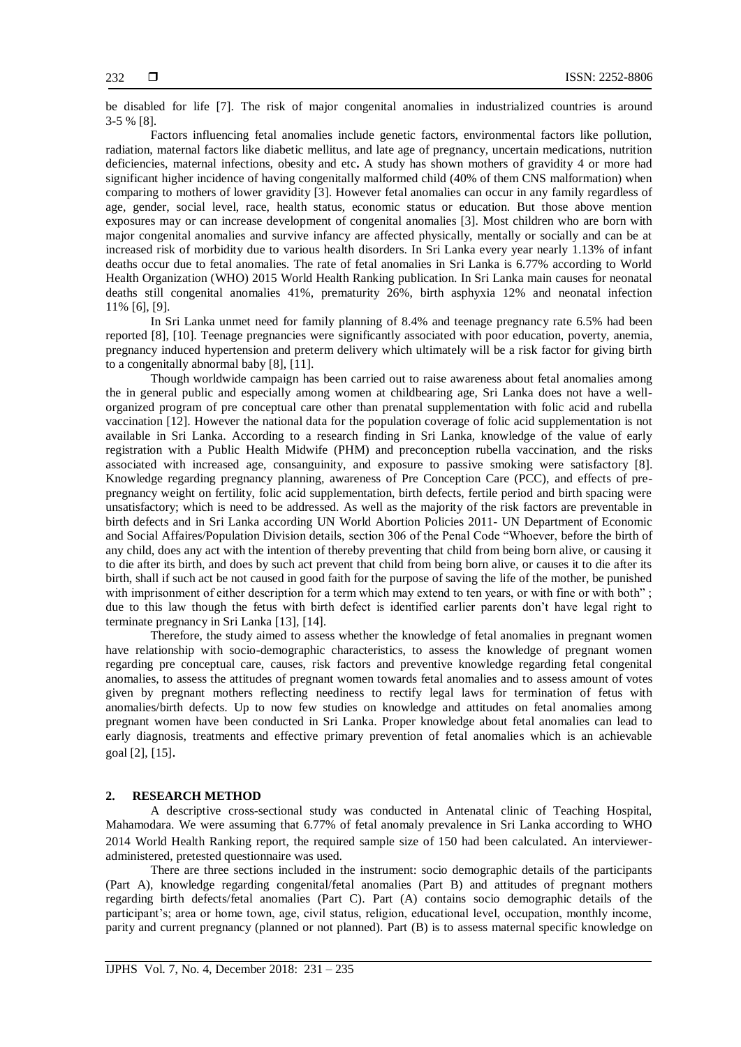be disabled for life [7]. The risk of major congenital anomalies in industrialized countries is around 3-5 % [8].

Factors influencing fetal anomalies include genetic factors, environmental factors like pollution, radiation, maternal factors like diabetic mellitus, and late age of pregnancy, uncertain medications, nutrition deficiencies, maternal infections, obesity and etc**.** A study has shown mothers of gravidity 4 or more had significant higher incidence of having congenitally malformed child (40% of them CNS malformation) when comparing to mothers of lower gravidity [3]. However fetal anomalies can occur in any family regardless of age, gender, social level, race, health status, economic status or education. But those above mention exposures may or can increase development of congenital anomalies [3]. Most children who are born with major congenital anomalies and survive infancy are affected physically, mentally or socially and can be at increased risk of morbidity due to various health disorders. In Sri Lanka every year nearly 1.13% of infant deaths occur due to fetal anomalies. The rate of fetal anomalies in Sri Lanka is 6.77% according to World Health Organization (WHO) 2015 World Health Ranking publication. In Sri Lanka main causes for neonatal deaths still congenital anomalies 41%, prematurity 26%, birth asphyxia 12% and neonatal infection 11% [6], [9].

In Sri Lanka unmet need for family planning of 8.4% and teenage pregnancy rate 6.5% had been reported [8], [10]. Teenage pregnancies were significantly associated with poor education, poverty, anemia, pregnancy induced hypertension and preterm delivery which ultimately will be a risk factor for giving birth to a congenitally abnormal baby [8], [11].

Though worldwide campaign has been carried out to raise awareness about fetal anomalies among the in general public and especially among women at childbearing age, Sri Lanka does not have a wellorganized program of pre conceptual care other than prenatal supplementation with folic acid and rubella vaccination [12]. However the national data for the population coverage of folic acid supplementation is not available in Sri Lanka. According to a research finding in Sri Lanka, knowledge of the value of early registration with a Public Health Midwife (PHM) and preconception rubella vaccination, and the risks associated with increased age, consanguinity, and exposure to passive smoking were satisfactory [8]. Knowledge regarding pregnancy planning, awareness of Pre Conception Care (PCC), and effects of prepregnancy weight on fertility, folic acid supplementation, birth defects, fertile period and birth spacing were unsatisfactory; which is need to be addressed. As well as the majority of the risk factors are preventable in birth defects and in Sri Lanka according UN World Abortion Policies 2011- UN Department of Economic and Social Affaires/Population Division details, section 306 of the Penal Code "Whoever, before the birth of any child, does any act with the intention of thereby preventing that child from being born alive, or causing it to die after its birth, and does by such act prevent that child from being born alive, or causes it to die after its birth, shall if such act be not caused in good faith for the purpose of saving the life of the mother, be punished with imprisonment of either description for a term which may extend to ten years, or with fine or with both": due to this law though the fetus with birth defect is identified earlier parents don't have legal right to terminate pregnancy in Sri Lanka [13], [14].

Therefore, the study aimed to assess whether the knowledge of fetal anomalies in pregnant women have relationship with socio-demographic characteristics, to assess the knowledge of pregnant women regarding pre conceptual care, causes, risk factors and preventive knowledge regarding fetal congenital anomalies, to assess the attitudes of pregnant women towards fetal anomalies and to assess amount of votes given by pregnant mothers reflecting neediness to rectify legal laws for termination of fetus with anomalies/birth defects. Up to now few studies on knowledge and attitudes on fetal anomalies among pregnant women have been conducted in Sri Lanka. Proper knowledge about fetal anomalies can lead to early diagnosis, treatments and effective primary prevention of fetal anomalies which is an achievable goal [2], [15].

## **2. RESEARCH METHOD**

A descriptive cross-sectional study was conducted in Antenatal clinic of Teaching Hospital, Mahamodara. We were assuming that 6.77% of fetal anomaly prevalence in Sri Lanka according to WHO 2014 World Health Ranking report, the required sample size of 150 had been calculated. An intervieweradministered, pretested questionnaire was used.

There are three sections included in the instrument: socio demographic details of the participants (Part A), knowledge regarding congenital/fetal anomalies (Part B) and attitudes of pregnant mothers regarding birth defects/fetal anomalies (Part C). Part (A) contains socio demographic details of the participant's; area or home town, age, civil status, religion, educational level, occupation, monthly income, parity and current pregnancy (planned or not planned). Part (B) is to assess maternal specific knowledge on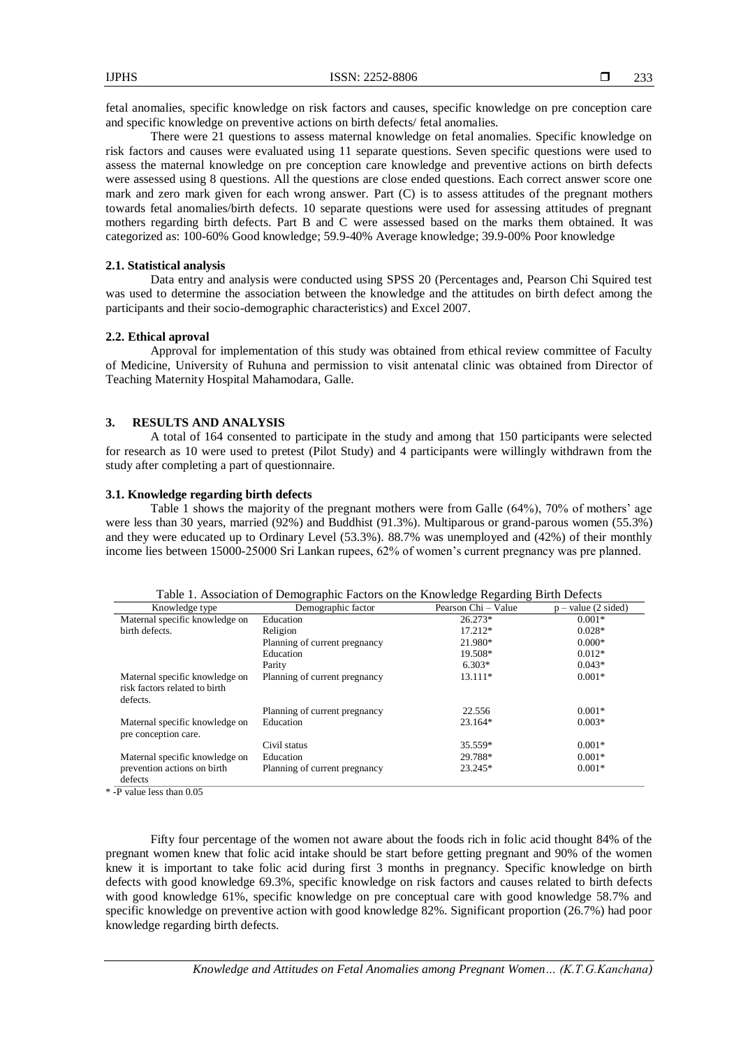fetal anomalies, specific knowledge on risk factors and causes, specific knowledge on pre conception care and specific knowledge on preventive actions on birth defects/ fetal anomalies.

There were 21 questions to assess maternal knowledge on fetal anomalies. Specific knowledge on risk factors and causes were evaluated using 11 separate questions. Seven specific questions were used to assess the maternal knowledge on pre conception care knowledge and preventive actions on birth defects were assessed using 8 questions. All the questions are close ended questions. Each correct answer score one mark and zero mark given for each wrong answer. Part (C) is to assess attitudes of the pregnant mothers towards fetal anomalies/birth defects. 10 separate questions were used for assessing attitudes of pregnant mothers regarding birth defects. Part B and C were assessed based on the marks them obtained. It was categorized as: 100-60% Good knowledge; 59.9-40% Average knowledge; 39.9-00% Poor knowledge

## **2.1. Statistical analysis**

Data entry and analysis were conducted using SPSS 20 (Percentages and, Pearson Chi Squired test was used to determine the association between the knowledge and the attitudes on birth defect among the participants and their socio-demographic characteristics) and Excel 2007.

#### **2.2. Ethical aproval**

Approval for implementation of this study was obtained from ethical review committee of Faculty of Medicine, University of Ruhuna and permission to visit antenatal clinic was obtained from Director of Teaching Maternity Hospital Mahamodara, Galle.

### **3. RESULTS AND ANALYSIS**

A total of 164 consented to participate in the study and among that 150 participants were selected for research as 10 were used to pretest (Pilot Study) and 4 participants were willingly withdrawn from the study after completing a part of questionnaire.

#### **3.1. Knowledge regarding birth defects**

Table 1 shows the majority of the pregnant mothers were from Galle (64%), 70% of mothers' age were less than 30 years, married (92%) and Buddhist (91.3%). Multiparous or grand-parous women (55.3%) and they were educated up to Ordinary Level (53.3%). 88.7% was unemployed and (42%) of their monthly income lies between 15000-25000 Sri Lankan rupees, 62% of women's current pregnancy was pre planned.

| Knowledge type                                                              | Demographic factor            | Pearson Chi – Value | $p - value (2 \text{ sided})$ |
|-----------------------------------------------------------------------------|-------------------------------|---------------------|-------------------------------|
| Maternal specific knowledge on                                              | Education                     | $26.273*$           | $0.001*$                      |
| birth defects.                                                              | Religion                      | $17.212*$           | $0.028*$                      |
|                                                                             | Planning of current pregnancy | 21.980*             | $0.000*$                      |
|                                                                             | Education                     | 19.508*             | $0.012*$                      |
|                                                                             | Parity                        | $6.303*$            | $0.043*$                      |
| Maternal specific knowledge on<br>risk factors related to birth<br>defects. | Planning of current pregnancy | 13.111*             | $0.001*$                      |
|                                                                             | Planning of current pregnancy | 22.556              | $0.001*$                      |
| Maternal specific knowledge on<br>pre conception care.                      | Education                     | $23.164*$           | $0.003*$                      |
|                                                                             | Civil status                  | 35.559*             | $0.001*$                      |
| Maternal specific knowledge on                                              | Education                     | 29.788*             | $0.001*$                      |
| prevention actions on birth<br>defects                                      | Planning of current pregnancy | 23.245*             | $0.001*$                      |
| .<br>$\sim$ $\sim$ $\sim$                                                   |                               |                     |                               |

Table 1. Association of Demographic Factors on the Knowledge Regarding Birth Defects

\* -P value less than 0.05

Fifty four percentage of the women not aware about the foods rich in folic acid thought 84% of the pregnant women knew that folic acid intake should be start before getting pregnant and 90% of the women knew it is important to take folic acid during first 3 months in pregnancy. Specific knowledge on birth defects with good knowledge 69.3%, specific knowledge on risk factors and causes related to birth defects with good knowledge 61%, specific knowledge on pre conceptual care with good knowledge 58.7% and specific knowledge on preventive action with good knowledge 82%. Significant proportion (26.7%) had poor knowledge regarding birth defects.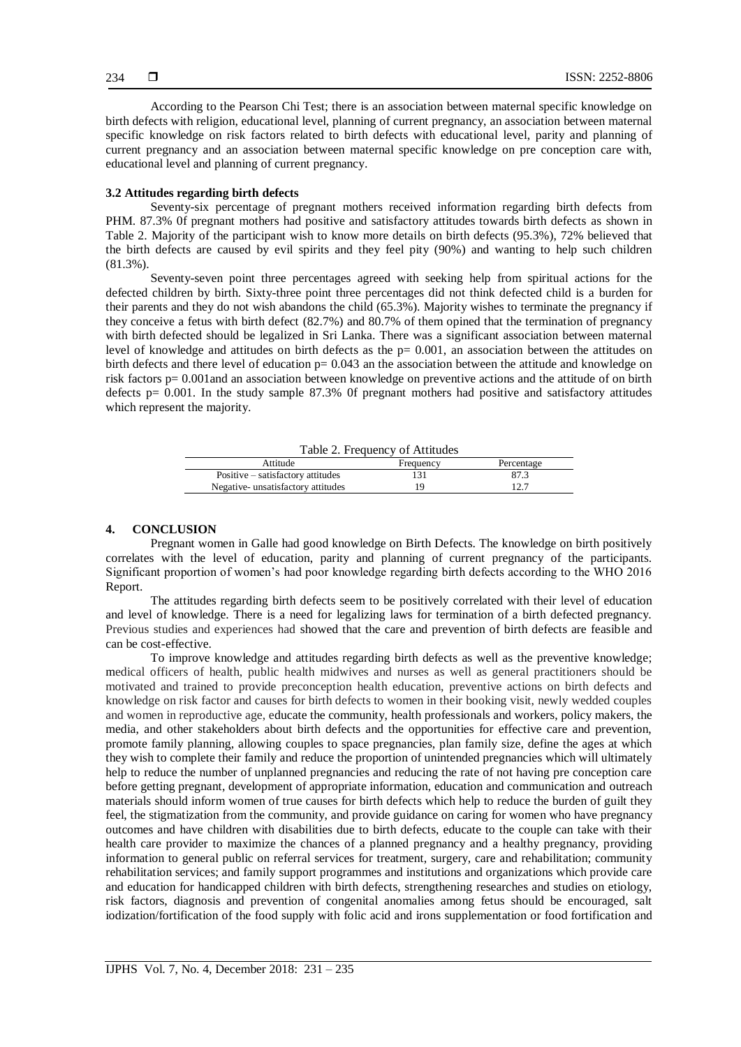According to the Pearson Chi Test; there is an association between maternal specific knowledge on birth defects with religion, educational level, planning of current pregnancy, an association between maternal specific knowledge on risk factors related to birth defects with educational level, parity and planning of current pregnancy and an association between maternal specific knowledge on pre conception care with, educational level and planning of current pregnancy.

## **3.2 Attitudes regarding birth defects**

Seventy-six percentage of pregnant mothers received information regarding birth defects from PHM. 87.3% 0f pregnant mothers had positive and satisfactory attitudes towards birth defects as shown in Table 2. Majority of the participant wish to know more details on birth defects (95.3%), 72% believed that the birth defects are caused by evil spirits and they feel pity (90%) and wanting to help such children (81.3%).

Seventy-seven point three percentages agreed with seeking help from spiritual actions for the defected children by birth. Sixty-three point three percentages did not think defected child is a burden for their parents and they do not wish abandons the child (65.3%). Majority wishes to terminate the pregnancy if they conceive a fetus with birth defect (82.7%) and 80.7% of them opined that the termination of pregnancy with birth defected should be legalized in Sri Lanka. There was a significant association between maternal level of knowledge and attitudes on birth defects as the p= 0.001, an association between the attitudes on birth defects and there level of education  $p = 0.043$  an the association between the attitude and knowledge on risk factors p= 0.001and an association between knowledge on preventive actions and the attitude of on birth defects  $p= 0.001$ . In the study sample 87.3% Of pregnant mothers had positive and satisfactory attitudes which represent the majority.

| Table 2. Frequency of Attitudes   |           |            |  |  |
|-----------------------------------|-----------|------------|--|--|
| Attitude                          | Frequency | Percentage |  |  |
| Positive – satisfactory attitudes |           | 87.3       |  |  |
| Negative-unsatisfactory attitudes |           | 12 7       |  |  |

#### **4. CONCLUSION**

Pregnant women in Galle had good knowledge on Birth Defects. The knowledge on birth positively correlates with the level of education, parity and planning of current pregnancy of the participants. Significant proportion of women's had poor knowledge regarding birth defects according to the WHO 2016 Report.

The attitudes regarding birth defects seem to be positively correlated with their level of education and level of knowledge. There is a need for legalizing laws for termination of a birth defected pregnancy. Previous studies and experiences had showed that the care and prevention of birth defects are feasible and can be cost-effective.

To improve knowledge and attitudes regarding birth defects as well as the preventive knowledge; medical officers of health, public health midwives and nurses as well as general practitioners should be motivated and trained to provide preconception health education, preventive actions on birth defects and knowledge on risk factor and causes for birth defects to women in their booking visit, newly wedded couples and women in reproductive age, educate the community, health professionals and workers, policy makers, the media, and other stakeholders about birth defects and the opportunities for effective care and prevention, promote family planning, allowing couples to space pregnancies, plan family size, define the ages at which they wish to complete their family and reduce the proportion of unintended pregnancies which will ultimately help to reduce the number of unplanned pregnancies and reducing the rate of not having pre conception care before getting pregnant, development of appropriate information, education and communication and outreach materials should inform women of true causes for birth defects which help to reduce the burden of guilt they feel, the stigmatization from the community, and provide guidance on caring for women who have pregnancy outcomes and have children with disabilities due to birth defects, educate to the couple can take with their health care provider to maximize the chances of a planned pregnancy and a healthy pregnancy, providing information to general public on referral services for treatment, surgery, care and rehabilitation; community rehabilitation services; and family support programmes and institutions and organizations which provide care and education for handicapped children with birth defects, strengthening researches and studies on etiology, risk factors, diagnosis and prevention of congenital anomalies among fetus should be encouraged, salt iodization/fortification of the food supply with folic acid and irons supplementation or food fortification and